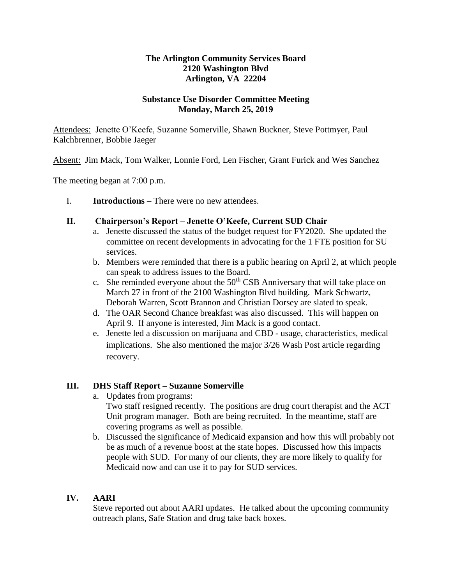### **The Arlington Community Services Board 2120 Washington Blvd Arlington, VA 22204**

### **Substance Use Disorder Committee Meeting Monday, March 25, 2019**

Attendees: Jenette O'Keefe, Suzanne Somerville, Shawn Buckner, Steve Pottmyer, Paul Kalchbrenner, Bobbie Jaeger

Absent: Jim Mack, Tom Walker, Lonnie Ford, Len Fischer, Grant Furick and Wes Sanchez

The meeting began at 7:00 p.m.

I. **Introductions** – There were no new attendees.

#### **II. Chairperson's Report – Jenette O'Keefe, Current SUD Chair**

- a. Jenette discussed the status of the budget request for FY2020. She updated the committee on recent developments in advocating for the 1 FTE position for SU services.
- b. Members were reminded that there is a public hearing on April 2, at which people can speak to address issues to the Board.
- c. She reminded everyone about the  $50<sup>th</sup>$  CSB Anniversary that will take place on March 27 in front of the 2100 Washington Blvd building. Mark Schwartz, Deborah Warren, Scott Brannon and Christian Dorsey are slated to speak.
- d. The OAR Second Chance breakfast was also discussed. This will happen on April 9. If anyone is interested, Jim Mack is a good contact.
- e. Jenette led a discussion on marijuana and CBD usage, characteristics, medical implications. She also mentioned the major 3/26 Wash Post article regarding recovery.

## **III. DHS Staff Report – Suzanne Somerville**

- a. Updates from programs: Two staff resigned recently. The positions are drug court therapist and the ACT Unit program manager. Both are being recruited. In the meantime, staff are covering programs as well as possible.
- b. Discussed the significance of Medicaid expansion and how this will probably not be as much of a revenue boost at the state hopes. Discussed how this impacts people with SUD. For many of our clients, they are more likely to qualify for Medicaid now and can use it to pay for SUD services.

## **IV. AARI**

Steve reported out about AARI updates. He talked about the upcoming community outreach plans, Safe Station and drug take back boxes.